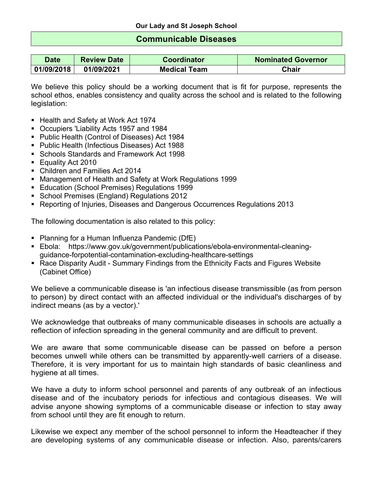## **Communicable Diseases**

| Date       | <b>Review Date</b> | <b>Coordinator</b>  | <b>Nominated Governor</b> |  |
|------------|--------------------|---------------------|---------------------------|--|
| 01/09/2018 | 01/09/2021         | <b>Medical Team</b> | <b>Chair</b>              |  |

We believe this policy should be a working document that is fit for purpose, represents the school ethos, enables consistency and quality across the school and is related to the following legislation:

- Health and Safety at Work Act 1974
- § Occupiers 'Liability Acts 1957 and 1984
- § Public Health (Control of Diseases) Act 1984
- Public Health (Infectious Diseases) Act 1988
- § Schools Standards and Framework Act 1998
- Equality Act 2010
- § Children and Families Act 2014
- Management of Health and Safety at Work Regulations 1999
- Education (School Premises) Regulations 1999
- School Premises (England) Regulations 2012
- § Reporting of Injuries, Diseases and Dangerous Occurrences Regulations 2013

The following documentation is also related to this policy:

- Planning for a Human Influenza Pandemic (DfE)
- § Ebola: https://www.gov.uk/government/publications/ebola-environmental-cleaningguidance-forpotential-contamination-excluding-healthcare-settings
- Race Disparity Audit Summary Findings from the Ethnicity Facts and Figures Website (Cabinet Office)

We believe a communicable disease is 'an infectious disease transmissible (as from person to person) by direct contact with an affected individual or the individual's discharges of by indirect means (as by a vector).'

We acknowledge that outbreaks of many communicable diseases in schools are actually a reflection of infection spreading in the general community and are difficult to prevent.

We are aware that some communicable disease can be passed on before a person becomes unwell while others can be transmitted by apparently-well carriers of a disease. Therefore, it is very important for us to maintain high standards of basic cleanliness and hygiene at all times.

We have a duty to inform school personnel and parents of any outbreak of an infectious disease and of the incubatory periods for infectious and contagious diseases. We will advise anyone showing symptoms of a communicable disease or infection to stay away from school until they are fit enough to return.

Likewise we expect any member of the school personnel to inform the Headteacher if they are developing systems of any communicable disease or infection. Also, parents/carers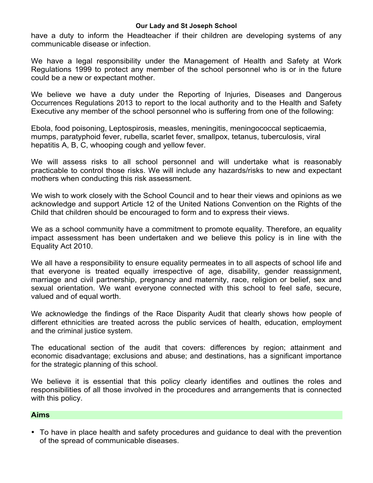have a duty to inform the Headteacher if their children are developing systems of any communicable disease or infection.

We have a legal responsibility under the Management of Health and Safety at Work Regulations 1999 to protect any member of the school personnel who is or in the future could be a new or expectant mother.

We believe we have a duty under the Reporting of Injuries, Diseases and Dangerous Occurrences Regulations 2013 to report to the local authority and to the Health and Safety Executive any member of the school personnel who is suffering from one of the following:

Ebola, food poisoning, Leptospirosis, measles, meningitis, meningococcal septicaemia, mumps, paratyphoid fever, rubella, scarlet fever, smallpox, tetanus, tuberculosis, viral hepatitis A, B, C, whooping cough and yellow fever.

We will assess risks to all school personnel and will undertake what is reasonably practicable to control those risks. We will include any hazards/risks to new and expectant mothers when conducting this risk assessment.

We wish to work closely with the School Council and to hear their views and opinions as we acknowledge and support Article 12 of the United Nations Convention on the Rights of the Child that children should be encouraged to form and to express their views.

We as a school community have a commitment to promote equality. Therefore, an equality impact assessment has been undertaken and we believe this policy is in line with the Equality Act 2010.

We all have a responsibility to ensure equality permeates in to all aspects of school life and that everyone is treated equally irrespective of age, disability, gender reassignment, marriage and civil partnership, pregnancy and maternity, race, religion or belief, sex and sexual orientation. We want everyone connected with this school to feel safe, secure, valued and of equal worth.

We acknowledge the findings of the Race Disparity Audit that clearly shows how people of different ethnicities are treated across the public services of health, education, employment and the criminal justice system.

The educational section of the audit that covers: differences by region; attainment and economic disadvantage; exclusions and abuse; and destinations, has a significant importance for the strategic planning of this school.

We believe it is essential that this policy clearly identifies and outlines the roles and responsibilities of all those involved in the procedures and arrangements that is connected with this policy.

### **Aims**

• To have in place health and safety procedures and guidance to deal with the prevention of the spread of communicable diseases.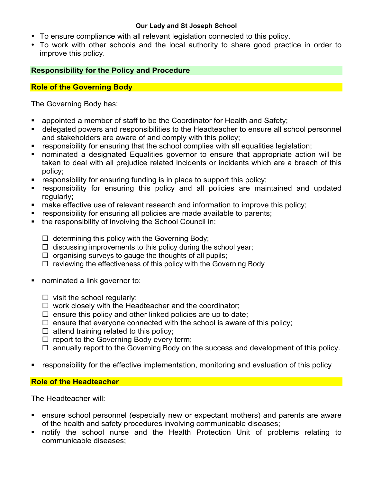- To ensure compliance with all relevant legislation connected to this policy.
- To work with other schools and the local authority to share good practice in order to improve this policy.

# **Responsibility for the Policy and Procedure**

# **Role of the Governing Body**

The Governing Body has:

- appointed a member of staff to be the Coordinator for Health and Safety;
- § delegated powers and responsibilities to the Headteacher to ensure all school personnel and stakeholders are aware of and comply with this policy;
- responsibility for ensuring that the school complies with all equalities legislation;
- nominated a designated Equalities governor to ensure that appropriate action will be taken to deal with all prejudice related incidents or incidents which are a breach of this policy;
- responsibility for ensuring funding is in place to support this policy;
- responsibility for ensuring this policy and all policies are maintained and updated regularly;
- make effective use of relevant research and information to improve this policy;
- **responsibility for ensuring all policies are made available to parents;**
- the responsibility of involving the School Council in:
	- $\Box$  determining this policy with the Governing Body;
	- $\Box$  discussing improvements to this policy during the school year;
	- $\Box$  organising surveys to gauge the thoughts of all pupils;
	- $\Box$  reviewing the effectiveness of this policy with the Governing Body
- nominated a link governor to:
	- $\Box$  visit the school regularly;
	- $\Box$  work closely with the Headteacher and the coordinator;
	- $\square$  ensure this policy and other linked policies are up to date;
	- $\square$  ensure that everyone connected with the school is aware of this policy;
	- $\square$  attend training related to this policy;
	- $\Box$  report to the Governing Body every term;
	- $\Box$  annually report to the Governing Body on the success and development of this policy.
- responsibility for the effective implementation, monitoring and evaluation of this policy

# **Role of the Headteacher**

The Headteacher will:

- ensure school personnel (especially new or expectant mothers) and parents are aware of the health and safety procedures involving communicable diseases;
- § notify the school nurse and the Health Protection Unit of problems relating to communicable diseases;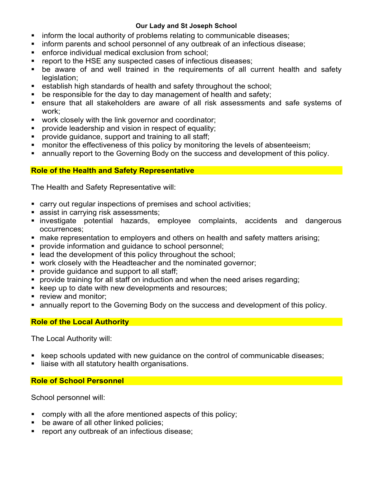- inform the local authority of problems relating to communicable diseases;
- inform parents and school personnel of any outbreak of an infectious disease;
- enforce individual medical exclusion from school:
- report to the HSE any suspected cases of infectious diseases;
- be aware of and well trained in the requirements of all current health and safety legislation;
- establish high standards of health and safety throughout the school;
- be responsible for the day to day management of health and safety;
- ensure that all stakeholders are aware of all risk assessments and safe systems of work;
- work closely with the link governor and coordinator;
- § provide leadership and vision in respect of equality;
- provide guidance, support and training to all staff;
- monitor the effectiveness of this policy by monitoring the levels of absenteeism;
- annually report to the Governing Body on the success and development of this policy.

# **Role of the Health and Safety Representative**

The Health and Safety Representative will:

- carry out regular inspections of premises and school activities;
- assist in carrying risk assessments;
- § investigate potential hazards, employee complaints, accidents and dangerous occurrences;
- **make representation to employers and others on health and safety matters arising:**
- § provide information and guidance to school personnel;
- lead the development of this policy throughout the school;
- work closely with the Headteacher and the nominated governor;
- **•** provide guidance and support to all staff;
- provide training for all staff on induction and when the need arises regarding;
- keep up to date with new developments and resources;
- **•** review and monitor:
- annually report to the Governing Body on the success and development of this policy.

# **Role of the Local Authority**

The Local Authority will:

- keep schools updated with new guidance on the control of communicable diseases;
- liaise with all statutory health organisations.

## **Role of School Personnel**

School personnel will:

- comply with all the afore mentioned aspects of this policy;
- be aware of all other linked policies;
- report any outbreak of an infectious disease;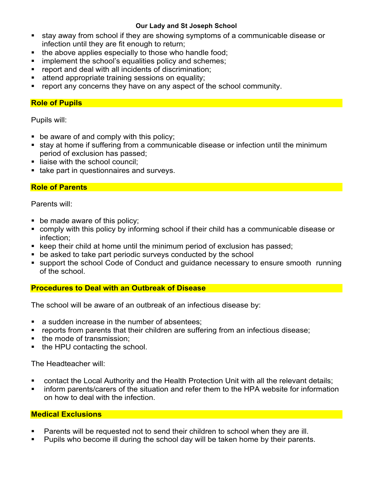- stay away from school if they are showing symptoms of a communicable disease or infection until they are fit enough to return;
- the above applies especially to those who handle food;
- implement the school's equalities policy and schemes;
- report and deal with all incidents of discrimination;
- attend appropriate training sessions on equality;
- report any concerns they have on any aspect of the school community.

## **Role of Pupils**

Pupils will:

- be aware of and comply with this policy;
- stay at home if suffering from a communicable disease or infection until the minimum period of exclusion has passed;
- liaise with the school council;
- take part in questionnaires and surveys.

# **Role of Parents**

Parents will:

- be made aware of this policy;
- comply with this policy by informing school if their child has a communicable disease or infection;
- keep their child at home until the minimum period of exclusion has passed;
- be asked to take part periodic surveys conducted by the school
- support the school Code of Conduct and guidance necessary to ensure smooth running of the school.

# **Procedures to Deal with an Outbreak of Disease**

The school will be aware of an outbreak of an infectious disease by:

- a sudden increase in the number of absentees;
- reports from parents that their children are suffering from an infectious disease;
- the mode of transmission;
- the HPU contacting the school.

The Headteacher will:

- contact the Local Authority and the Health Protection Unit with all the relevant details;
- inform parents/carers of the situation and refer them to the HPA website for information on how to deal with the infection.

# **Medical Exclusions**

- Parents will be requested not to send their children to school when they are ill.
- Pupils who become ill during the school day will be taken home by their parents.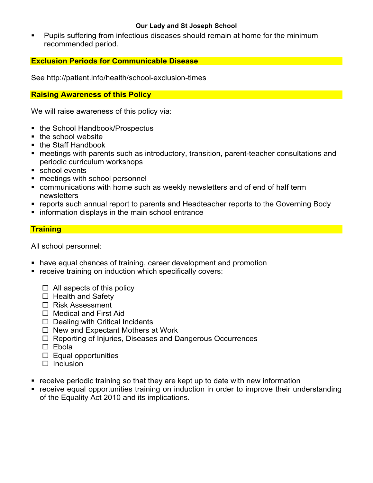§ Pupils suffering from infectious diseases should remain at home for the minimum recommended period.

## **Exclusion Periods for Communicable Disease**

See http://patient.info/health/school-exclusion-times

### **Raising Awareness of this Policy**

We will raise awareness of this policy via:

- the School Handbook/Prospectus
- the school website
- the Staff Handbook
- meetings with parents such as introductory, transition, parent-teacher consultations and periodic curriculum workshops
- school events
- meetings with school personnel
- communications with home such as weekly newsletters and of end of half term newsletters
- reports such annual report to parents and Headteacher reports to the Governing Body
- information displays in the main school entrance

## **Training**

All school personnel:

- have equal chances of training, career development and promotion
- receive training on induction which specifically covers:
	- $\Box$  All aspects of this policy
	- $\Box$  Health and Safety
	- $\square$  Risk Assessment
	- $\square$  Medical and First Aid
	- $\square$  Dealing with Critical Incidents
	- $\Box$  New and Expectant Mothers at Work
	- $\Box$  Reporting of Injuries, Diseases and Dangerous Occurrences
	- □ Ebola
	- $\square$  Equal opportunities
	- $\Box$  Inclusion
- receive periodic training so that they are kept up to date with new information
- receive equal opportunities training on induction in order to improve their understanding of the Equality Act 2010 and its implications.